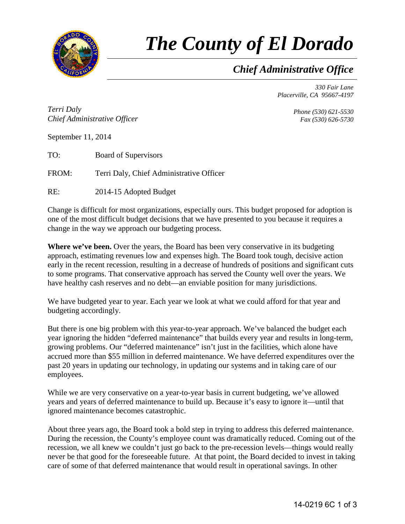

## *The County of El Dorado*

## *Chief Administrative Office*

*330 Fair Lane Placerville, CA 95667-4197*

*Terri Daly Chief Administrative Officer*

*Phone (530) 621-5530 Fax (530) 626-5730*

September 11, 2014

TO: Board of Supervisors

FROM: Terri Daly, Chief Administrative Officer

RE: 2014-15 Adopted Budget

Change is difficult for most organizations, especially ours. This budget proposed for adoption is one of the most difficult budget decisions that we have presented to you because it requires a change in the way we approach our budgeting process.

**Where we've been.** Over the years, the Board has been very conservative in its budgeting approach, estimating revenues low and expenses high. The Board took tough, decisive action early in the recent recession, resulting in a decrease of hundreds of positions and significant cuts to some programs. That conservative approach has served the County well over the years. We have healthy cash reserves and no debt—an enviable position for many jurisdictions.

We have budgeted year to year. Each year we look at what we could afford for that year and budgeting accordingly.

But there is one big problem with this year-to-year approach. We've balanced the budget each year ignoring the hidden "deferred maintenance" that builds every year and results in long-term, growing problems. Our "deferred maintenance" isn't just in the facilities, which alone have accrued more than \$55 million in deferred maintenance. We have deferred expenditures over the past 20 years in updating our technology, in updating our systems and in taking care of our employees.

While we are very conservative on a year-to-year basis in current budgeting, we've allowed years and years of deferred maintenance to build up. Because it's easy to ignore it—until that ignored maintenance becomes catastrophic.

About three years ago, the Board took a bold step in trying to address this deferred maintenance. During the recession, the County's employee count was dramatically reduced. Coming out of the recession, we all knew we couldn't just go back to the pre-recession levels—things would really never be that good for the foreseeable future. At that point, the Board decided to invest in taking care of some of that deferred maintenance that would result in operational savings. In other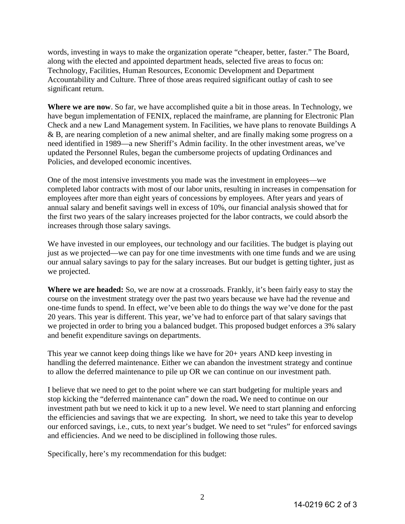words, investing in ways to make the organization operate "cheaper, better, faster." The Board, along with the elected and appointed department heads, selected five areas to focus on: Technology, Facilities, Human Resources, Economic Development and Department Accountability and Culture. Three of those areas required significant outlay of cash to see significant return.

**Where we are now**. So far, we have accomplished quite a bit in those areas. In Technology, we have begun implementation of FENIX, replaced the mainframe, are planning for Electronic Plan Check and a new Land Management system. In Facilities, we have plans to renovate Buildings A & B, are nearing completion of a new animal shelter, and are finally making some progress on a need identified in 1989—a new Sheriff's Admin facility. In the other investment areas, we've updated the Personnel Rules, began the cumbersome projects of updating Ordinances and Policies, and developed economic incentives.

One of the most intensive investments you made was the investment in employees—we completed labor contracts with most of our labor units, resulting in increases in compensation for employees after more than eight years of concessions by employees. After years and years of annual salary and benefit savings well in excess of 10%, our financial analysis showed that for the first two years of the salary increases projected for the labor contracts, we could absorb the increases through those salary savings.

We have invested in our employees, our technology and our facilities. The budget is playing out just as we projected—we can pay for one time investments with one time funds and we are using our annual salary savings to pay for the salary increases. But our budget is getting tighter, just as we projected.

**Where we are headed:** So, we are now at a crossroads. Frankly, it's been fairly easy to stay the course on the investment strategy over the past two years because we have had the revenue and one-time funds to spend. In effect, we've been able to do things the way we've done for the past 20 years. This year is different. This year, we've had to enforce part of that salary savings that we projected in order to bring you a balanced budget. This proposed budget enforces a 3% salary and benefit expenditure savings on departments.

This year we cannot keep doing things like we have for 20+ years AND keep investing in handling the deferred maintenance. Either we can abandon the investment strategy and continue to allow the deferred maintenance to pile up OR we can continue on our investment path.

I believe that we need to get to the point where we can start budgeting for multiple years and stop kicking the "deferred maintenance can" down the road**.** We need to continue on our investment path but we need to kick it up to a new level. We need to start planning and enforcing the efficiencies and savings that we are expecting. In short, we need to take this year to develop our enforced savings, i.e., cuts, to next year's budget. We need to set "rules" for enforced savings and efficiencies. And we need to be disciplined in following those rules.

Specifically, here's my recommendation for this budget: